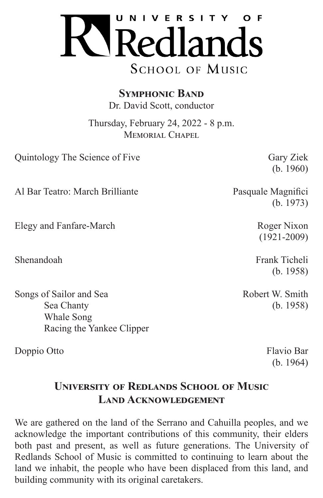

**Symphonic Band** Dr. David Scott, conductor

Thursday, February 24, 2022 - 8 p.m. MEMORIAL CHAPEL

Quintology The Science of Five Gary Ziek

(b. 1960)

Al Bar Teatro: March Brilliante Pasquale Magnifici

Elegy and Fanfare-March Roger Nixon

Songs of Sailor and Sea Robert W. Smith Sea Chanty (b. 1958) Whale Song Racing the Yankee Clipper

Doppio Otto Flavio Bar

(b. 1973)

(1921-2009)

Shenandoah **Frank Ticheli** (b. 1958)

(b. 1964)

# **University of Redlands School of Music Land Acknowledgement**

We are gathered on the land of the Serrano and Cahuilla peoples, and we acknowledge the important contributions of this community, their elders both past and present, as well as future generations. The University of Redlands School of Music is committed to continuing to learn about the land we inhabit, the people who have been displaced from this land, and building community with its original caretakers.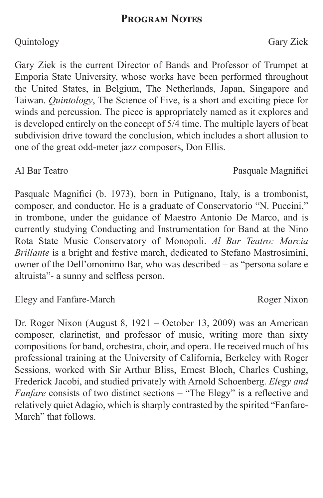## **Program Notes**

## Quintology Gary Ziek

Gary Ziek is the current Director of Bands and Professor of Trumpet at Emporia State University, whose works have been performed throughout the United States, in Belgium, The Netherlands, Japan, Singapore and Taiwan. *Quintology*, The Science of Five, is a short and exciting piece for winds and percussion. The piece is appropriately named as it explores and is developed entirely on the concept of 5/4 time. The multiple layers of beat subdivision drive toward the conclusion, which includes a short allusion to one of the great odd-meter jazz composers, Don Ellis.

Pasquale Magnifici (b. 1973), born in Putignano, Italy, is a trombonist, composer, and conductor. He is a graduate of Conservatorio "N. Puccini," in trombone, under the guidance of Maestro Antonio De Marco, and is currently studying Conducting and Instrumentation for Band at the Nino Rota State Music Conservatory of Monopoli. *Al Bar Teatro: Marcia Brillante* is a bright and festive march, dedicated to Stefano Mastrosimini, owner of the Dell'omonimo Bar, who was described – as "persona solare e altruista"- a sunny and selfless person.

## Elegy and Fanfare-March Roger Nixon

Dr. Roger Nixon (August 8, 1921 – October 13, 2009) was an American composer, clarinetist, and professor of music, writing more than sixty compositions for band, orchestra, choir, and opera. He received much of his professional training at the University of California, Berkeley with Roger Sessions, worked with Sir Arthur Bliss, Ernest Bloch, Charles Cushing, Frederick Jacobi, and studied privately with Arnold Schoenberg. *Elegy and Fanfare* consists of two distinct sections – "The Elegy" is a reflective and relatively quiet Adagio, which is sharply contrasted by the spirited "Fanfare-March" that follows.

# Al Bar Teatro **Pasquale Magnifici**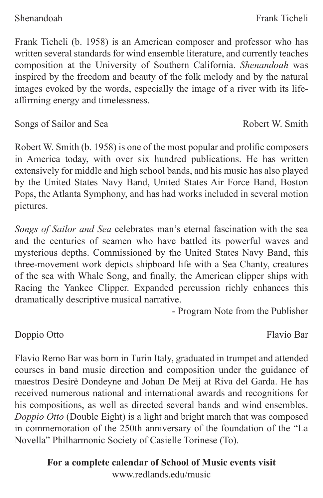Frank Ticheli (b. 1958) is an American composer and professor who has written several standards for wind ensemble literature, and currently teaches composition at the University of Southern California. *Shenandoah* was inspired by the freedom and beauty of the folk melody and by the natural images evoked by the words, especially the image of a river with its lifeaffirming energy and timelessness.

Songs of Sailor and Sea Robert W. Smith

Robert W. Smith (b. 1958) is one of the most popular and prolific composers in America today, with over six hundred publications. He has written extensively for middle and high school bands, and his music has also played by the United States Navy Band, United States Air Force Band, Boston Pops, the Atlanta Symphony, and has had works included in several motion pictures.

*Songs of Sailor and Sea* celebrates man's eternal fascination with the sea and the centuries of seamen who have battled its powerful waves and mysterious depths. Commissioned by the United States Navy Band, this three-movement work depicts shipboard life with a Sea Chanty, creatures of the sea with Whale Song, and finally, the American clipper ships with Racing the Yankee Clipper. Expanded percussion richly enhances this dramatically descriptive musical narrative.

- Program Note from the Publisher

Doppio Otto Flavio Bar

Flavio Remo Bar was born in Turin Italy, graduated in trumpet and attended courses in band music direction and composition under the guidance of maestros Desirè Dondeyne and Johan De Meij at Riva del Garda. He has received numerous national and international awards and recognitions for his compositions, as well as directed several bands and wind ensembles. *Doppio Otto* (Double Eight) is a light and bright march that was composed in commemoration of the 250th anniversary of the foundation of the "La Novella" Philharmonic Society of Casielle Torinese (To).

> **For a complete calendar of School of Music events visit** www.redlands.edu/music

Shenandoah **Frank Ticheli**